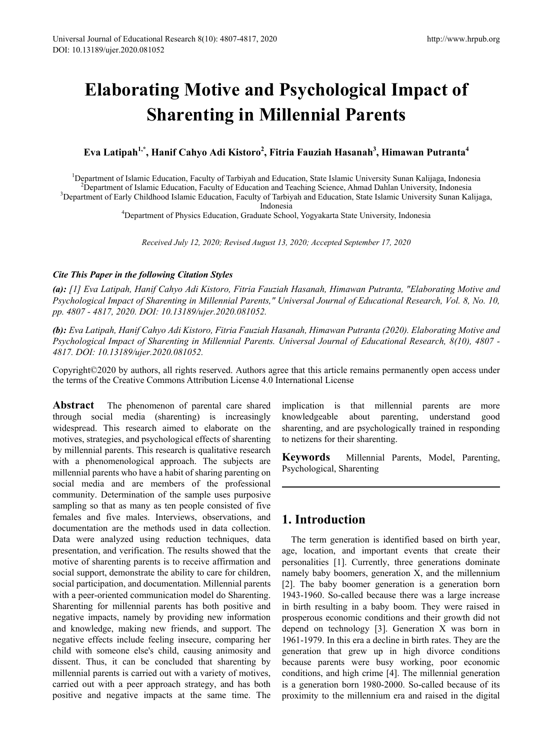# **Elaborating Motive and Psychological Impact of Sharenting in Millennial Parents**

# **Eva Latipah1,\*, Hanif Cahyo Adi Kistoro2 , Fitria Fauziah Hasanah<sup>3</sup> , Himawan Putranta4**

<sup>1</sup>Department of Islamic Education, Faculty of Tarbiyah and Education, State Islamic University Sunan Kalijaga, Indonesia<br><sup>2</sup>Department of Islamic Education, Faculty of Education and Teaching Science, Ahmad Dahlan Universi  $<sup>2</sup>D$ epartment of Islamic Education, Faculty of Education and Teaching Science, Ahmad Dahlan University, Indonesia</sup> <sup>3</sup>Department of Early Childhood Islamic Education, Faculty of Tarbiyah and Education, State Islamic University Sunan Kalijaga,<br>Indonesia

Indonesia 4 Department of Physics Education, Graduate School, Yogyakarta State University, Indonesia

*Received July 12, 2020; Revised August 13, 2020; Accepted September 17, 2020*

## *Cite This Paper in the following Citation Styles*

*(a): [1] Eva Latipah, Hanif Cahyo Adi Kistoro, Fitria Fauziah Hasanah, Himawan Putranta, "Elaborating Motive and Psychological Impact of Sharenting in Millennial Parents," Universal Journal of Educational Research, Vol. 8, No. 10, pp. 4807 - 4817, 2020. DOI: 10.13189/ujer.2020.081052.* 

*(b): Eva Latipah, Hanif Cahyo Adi Kistoro, Fitria Fauziah Hasanah, Himawan Putranta (2020). Elaborating Motive and Psychological Impact of Sharenting in Millennial Parents. Universal Journal of Educational Research, 8(10), 4807 - 4817. DOI: 10.13189/ujer.2020.081052.* 

Copyright©2020 by authors, all rights reserved. Authors agree that this article remains permanently open access under the terms of the Creative Commons Attribution License 4.0 International License

**Abstract** The phenomenon of parental care shared through social media (sharenting) is increasingly widespread. This research aimed to elaborate on the motives, strategies, and psychological effects of sharenting by millennial parents. This research is qualitative research with a phenomenological approach. The subjects are millennial parents who have a habit of sharing parenting on social media and are members of the professional community. Determination of the sample uses purposive sampling so that as many as ten people consisted of five females and five males. Interviews, observations, and documentation are the methods used in data collection. Data were analyzed using reduction techniques, data presentation, and verification. The results showed that the motive of sharenting parents is to receive affirmation and social support, demonstrate the ability to care for children, social participation, and documentation. Millennial parents with a peer-oriented communication model do Sharenting. Sharenting for millennial parents has both positive and negative impacts, namely by providing new information and knowledge, making new friends, and support. The negative effects include feeling insecure, comparing her child with someone else's child, causing animosity and dissent. Thus, it can be concluded that sharenting by millennial parents is carried out with a variety of motives, carried out with a peer approach strategy, and has both positive and negative impacts at the same time. The

implication is that millennial parents are more knowledgeable about parenting, understand good sharenting, and are psychologically trained in responding to netizens for their sharenting.

**Keywords** Millennial Parents, Model, Parenting, Psychological, Sharenting

# **1. Introduction**

The term generation is identified based on birth year, age, location, and important events that create their personalities [1]. Currently, three generations dominate namely baby boomers, generation X, and the millennium [2]. The baby boomer generation is a generation born 1943-1960. So-called because there was a large increase in birth resulting in a baby boom. They were raised in prosperous economic conditions and their growth did not depend on technology [3]. Generation X was born in 1961-1979. In this era a decline in birth rates. They are the generation that grew up in high divorce conditions because parents were busy working, poor economic conditions, and high crime [4]. The millennial generation is a generation born 1980-2000. So-called because of its proximity to the millennium era and raised in the digital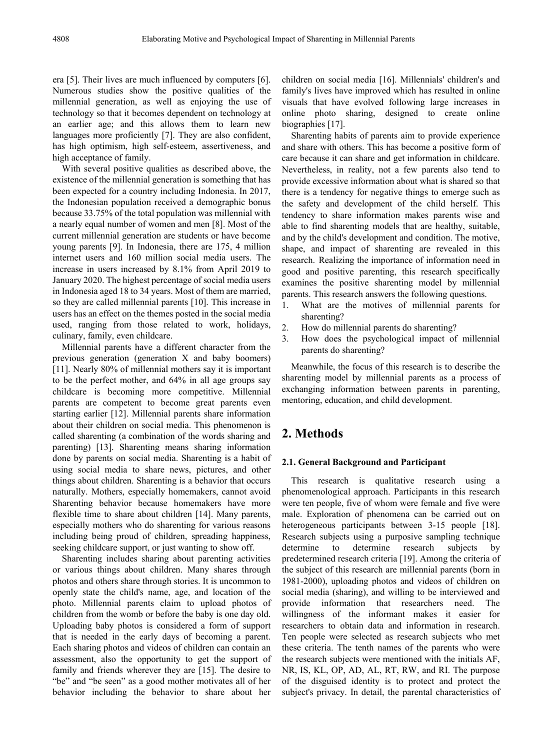era [5]. Their lives are much influenced by computers [6]. Numerous studies show the positive qualities of the millennial generation, as well as enjoying the use of technology so that it becomes dependent on technology at an earlier age; and this allows them to learn new languages more proficiently [7]. They are also confident, has high optimism, high self-esteem, assertiveness, and high acceptance of family.

With several positive qualities as described above, the existence of the millennial generation is something that has been expected for a country including Indonesia. In 2017, the Indonesian population received a demographic bonus because 33.75% of the total population was millennial with a nearly equal number of women and men [8]. Most of the current millennial generation are students or have become young parents [9]. In Indonesia, there are 175, 4 million internet users and 160 million social media users. The increase in users increased by 8.1% from April 2019 to January 2020. The highest percentage of social media users in Indonesia aged 18 to 34 years. Most of them are married, so they are called millennial parents [10]. This increase in users has an effect on the themes posted in the social media used, ranging from those related to work, holidays, culinary, family, even childcare.

Millennial parents have a different character from the previous generation (generation X and baby boomers) [11]. Nearly 80% of millennial mothers say it is important to be the perfect mother, and 64% in all age groups say childcare is becoming more competitive. Millennial parents are competent to become great parents even starting earlier [12]. Millennial parents share information about their children on social media. This phenomenon is called sharenting (a combination of the words sharing and parenting) [13]. Sharenting means sharing information done by parents on social media. Sharenting is a habit of using social media to share news, pictures, and other things about children. Sharenting is a behavior that occurs naturally. Mothers, especially homemakers, cannot avoid Sharenting behavior because homemakers have more flexible time to share about children [14]. Many parents, especially mothers who do sharenting for various reasons including being proud of children, spreading happiness, seeking childcare support, or just wanting to show off.

Sharenting includes sharing about parenting activities or various things about children. Many shares through photos and others share through stories. It is uncommon to openly state the child's name, age, and location of the photo. Millennial parents claim to upload photos of children from the womb or before the baby is one day old. Uploading baby photos is considered a form of support that is needed in the early days of becoming a parent. Each sharing photos and videos of children can contain an assessment, also the opportunity to get the support of family and friends wherever they are [15]. The desire to "be" and "be seen" as a good mother motivates all of her behavior including the behavior to share about her

children on social media [16]. Millennials' children's and family's lives have improved which has resulted in online visuals that have evolved following large increases in online photo sharing, designed to create online biographies [17].

Sharenting habits of parents aim to provide experience and share with others. This has become a positive form of care because it can share and get information in childcare. Nevertheless, in reality, not a few parents also tend to provide excessive information about what is shared so that there is a tendency for negative things to emerge such as the safety and development of the child herself. This tendency to share information makes parents wise and able to find sharenting models that are healthy, suitable, and by the child's development and condition. The motive, shape, and impact of sharenting are revealed in this research. Realizing the importance of information need in good and positive parenting, this research specifically examines the positive sharenting model by millennial parents. This research answers the following questions.

- 1. What are the motives of millennial parents for sharenting?
- 2. How do millennial parents do sharenting?
- 3. How does the psychological impact of millennial parents do sharenting?

Meanwhile, the focus of this research is to describe the sharenting model by millennial parents as a process of exchanging information between parents in parenting, mentoring, education, and child development.

# **2. Methods**

### **2.1. General Background and Participant**

This research is qualitative research using a phenomenological approach. Participants in this research were ten people, five of whom were female and five were male. Exploration of phenomena can be carried out on heterogeneous participants between 3-15 people [18]. Research subjects using a purposive sampling technique determine to determine research subjects by predetermined research criteria [19]. Among the criteria of the subject of this research are millennial parents (born in 1981-2000), uploading photos and videos of children on social media (sharing), and willing to be interviewed and provide information that researchers need. The willingness of the informant makes it easier for researchers to obtain data and information in research. Ten people were selected as research subjects who met these criteria. The tenth names of the parents who were the research subjects were mentioned with the initials AF, NR, IS, KL, OP, AD, AL, RT, RW, and RI. The purpose of the disguised identity is to protect and protect the subject's privacy. In detail, the parental characteristics of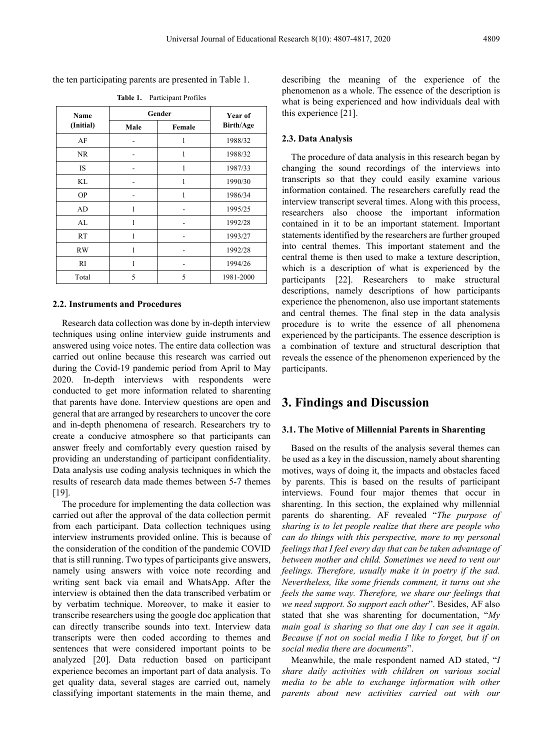the ten participating parents are presented in Table 1.

| Name<br>(Initial) | Gender |        | Year of          |
|-------------------|--------|--------|------------------|
|                   | Male   | Female | <b>Birth/Age</b> |
| AF                |        |        | 1988/32          |
| NR.               |        |        | 1988/32          |
| <b>IS</b>         |        | 1      | 1987/33          |
| KL                |        | 1      | 1990/30          |
| <b>OP</b>         |        |        | 1986/34          |
| AD                | 1      |        | 1995/25          |
| AL                | 1      |        | 1992/28          |
| <b>RT</b>         | 1      |        | 1993/27          |
| <b>RW</b>         |        |        | 1992/28          |
| RI                | 1      |        | 1994/26          |
| Total             | 5      | 5      | 1981-2000        |

**Table 1.** Participant Profiles

## **2.2. Instruments and Procedures**

Research data collection was done by in-depth interview techniques using online interview guide instruments and answered using voice notes. The entire data collection was carried out online because this research was carried out during the Covid-19 pandemic period from April to May 2020. In-depth interviews with respondents were conducted to get more information related to sharenting that parents have done. Interview questions are open and general that are arranged by researchers to uncover the core and in-depth phenomena of research. Researchers try to create a conducive atmosphere so that participants can answer freely and comfortably every question raised by providing an understanding of participant confidentiality. Data analysis use coding analysis techniques in which the results of research data made themes between 5-7 themes [19].

The procedure for implementing the data collection was carried out after the approval of the data collection permit from each participant. Data collection techniques using interview instruments provided online. This is because of the consideration of the condition of the pandemic COVID that is still running. Two types of participants give answers, namely using answers with voice note recording and writing sent back via email and WhatsApp. After the interview is obtained then the data transcribed verbatim or by verbatim technique. Moreover, to make it easier to transcribe researchers using the google doc application that can directly transcribe sounds into text. Interview data transcripts were then coded according to themes and sentences that were considered important points to be analyzed [20]. Data reduction based on participant experience becomes an important part of data analysis. To get quality data, several stages are carried out, namely classifying important statements in the main theme, and describing the meaning of the experience of the phenomenon as a whole. The essence of the description is what is being experienced and how individuals deal with this experience [21].

## **2.3. Data Analysis**

The procedure of data analysis in this research began by changing the sound recordings of the interviews into transcripts so that they could easily examine various information contained. The researchers carefully read the interview transcript several times. Along with this process, researchers also choose the important information contained in it to be an important statement. Important statements identified by the researchers are further grouped into central themes. This important statement and the central theme is then used to make a texture description, which is a description of what is experienced by the participants [22]. Researchers to make structural descriptions, namely descriptions of how participants experience the phenomenon, also use important statements and central themes. The final step in the data analysis procedure is to write the essence of all phenomena experienced by the participants. The essence description is a combination of texture and structural description that reveals the essence of the phenomenon experienced by the participants.

## **3. Findings and Discussion**

## **3.1. The Motive of Millennial Parents in Sharenting**

Based on the results of the analysis several themes can be used as a key in the discussion, namely about sharenting motives, ways of doing it, the impacts and obstacles faced by parents. This is based on the results of participant interviews. Found four major themes that occur in sharenting. In this section, the explained why millennial parents do sharenting. AF revealed "*The purpose of sharing is to let people realize that there are people who can do things with this perspective, more to my personal feelings that I feel every day that can be taken advantage of between mother and child. Sometimes we need to vent our feelings. Therefore, usually make it in poetry if the sad. Nevertheless, like some friends comment, it turns out she feels the same way. Therefore, we share our feelings that we need support. So support each other*". Besides, AF also stated that she was sharenting for documentation, "*My main goal is sharing so that one day I can see it again. Because if not on social media I like to forget, but if on social media there are documents*".

Meanwhile, the male respondent named AD stated, "*I share daily activities with children on various social media to be able to exchange information with other parents about new activities carried out with our*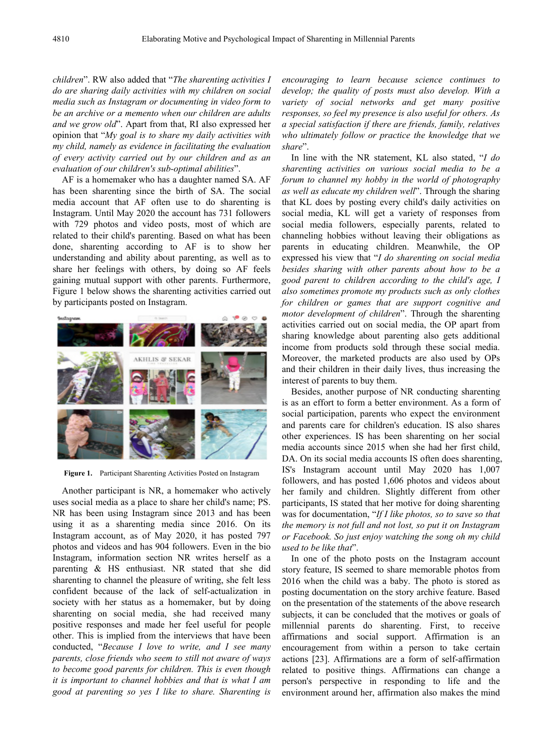*children*". RW also added that "*The sharenting activities I do are sharing daily activities with my children on social media such as Instagram or documenting in video form to be an archive or a memento when our children are adults and we grow old*". Apart from that, RI also expressed her opinion that "*My goal is to share my daily activities with my child, namely as evidence in facilitating the evaluation of every activity carried out by our children and as an evaluation of our children's sub-optimal abilities*".

AF is a homemaker who has a daughter named SA. AF has been sharenting since the birth of SA. The social media account that AF often use to do sharenting is Instagram. Until May 2020 the account has 731 followers with 729 photos and video posts, most of which are related to their child's parenting. Based on what has been done, sharenting according to AF is to show her understanding and ability about parenting, as well as to share her feelings with others, by doing so AF feels gaining mutual support with other parents. Furthermore, Figure 1 below shows the sharenting activities carried out by participants posted on Instagram.



**Figure 1.** Participant Sharenting Activities Posted on Instagram

Another participant is NR, a homemaker who actively uses social media as a place to share her child's name; PS. NR has been using Instagram since 2013 and has been using it as a sharenting media since 2016. On its Instagram account, as of May 2020, it has posted 797 photos and videos and has 904 followers. Even in the bio Instagram, information section NR writes herself as a parenting & HS enthusiast. NR stated that she did sharenting to channel the pleasure of writing, she felt less confident because of the lack of self-actualization in society with her status as a homemaker, but by doing sharenting on social media, she had received many positive responses and made her feel useful for people other. This is implied from the interviews that have been conducted, "*Because I love to write, and I see many parents, close friends who seem to still not aware of ways to become good parents for children. This is even though it is important to channel hobbies and that is what I am good at parenting so yes I like to share. Sharenting is* 

*encouraging to learn because science continues to develop; the quality of posts must also develop. With a variety of social networks and get many positive responses, so feel my presence is also useful for others. As a special satisfaction if there are friends, family, relatives who ultimately follow or practice the knowledge that we share*".

In line with the NR statement, KL also stated, "*I do sharenting activities on various social media to be a forum to channel my hobby in the world of photography as well as educate my children well*". Through the sharing that KL does by posting every child's daily activities on social media, KL will get a variety of responses from social media followers, especially parents, related to channeling hobbies without leaving their obligations as parents in educating children. Meanwhile, the OP expressed his view that "*I do sharenting on social media besides sharing with other parents about how to be a good parent to children according to the child's age, I also sometimes promote my products such as only clothes for children or games that are support cognitive and motor development of children*". Through the sharenting activities carried out on social media, the OP apart from sharing knowledge about parenting also gets additional income from products sold through these social media. Moreover, the marketed products are also used by OPs and their children in their daily lives, thus increasing the interest of parents to buy them.

Besides, another purpose of NR conducting sharenting is as an effort to form a better environment. As a form of social participation, parents who expect the environment and parents care for children's education. IS also shares other experiences. IS has been sharenting on her social media accounts since 2015 when she had her first child, DA. On its social media accounts IS often does sharenting, IS's Instagram account until May 2020 has 1,007 followers, and has posted 1,606 photos and videos about her family and children. Slightly different from other participants, IS stated that her motive for doing sharenting was for documentation, "*If I like photos, so to save so that the memory is not full and not lost, so put it on Instagram or Facebook. So just enjoy watching the song oh my child used to be like that*".

In one of the photo posts on the Instagram account story feature, IS seemed to share memorable photos from 2016 when the child was a baby. The photo is stored as posting documentation on the story archive feature. Based on the presentation of the statements of the above research subjects, it can be concluded that the motives or goals of millennial parents do sharenting. First, to receive affirmations and social support. Affirmation is an encouragement from within a person to take certain actions [23]. Affirmations are a form of self-affirmation related to positive things. Affirmations can change a person's perspective in responding to life and the environment around her, affirmation also makes the mind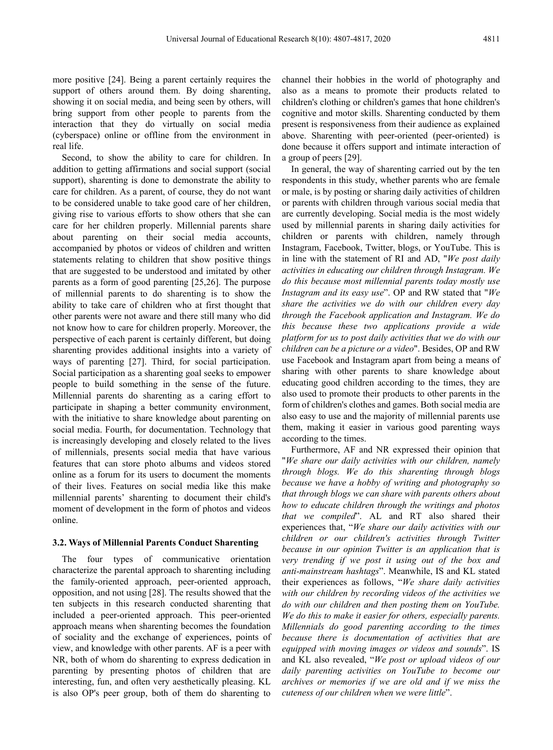more positive [24]. Being a parent certainly requires the support of others around them. By doing sharenting, showing it on social media, and being seen by others, will bring support from other people to parents from the interaction that they do virtually on social media (cyberspace) online or offline from the environment in real life.

Second, to show the ability to care for children. In addition to getting affirmations and social support (social support), sharenting is done to demonstrate the ability to care for children. As a parent, of course, they do not want to be considered unable to take good care of her children, giving rise to various efforts to show others that she can care for her children properly. Millennial parents share about parenting on their social media accounts, accompanied by photos or videos of children and written statements relating to children that show positive things that are suggested to be understood and imitated by other parents as a form of good parenting [25,26]. The purpose of millennial parents to do sharenting is to show the ability to take care of children who at first thought that other parents were not aware and there still many who did not know how to care for children properly. Moreover, the perspective of each parent is certainly different, but doing sharenting provides additional insights into a variety of ways of parenting [27]. Third, for social participation. Social participation as a sharenting goal seeks to empower people to build something in the sense of the future. Millennial parents do sharenting as a caring effort to participate in shaping a better community environment, with the initiative to share knowledge about parenting on social media. Fourth, for documentation. Technology that is increasingly developing and closely related to the lives of millennials, presents social media that have various features that can store photo albums and videos stored online as a forum for its users to document the moments of their lives. Features on social media like this make millennial parents' sharenting to document their child's moment of development in the form of photos and videos online.

#### **3.2. Ways of Millennial Parents Conduct Sharenting**

The four types of communicative orientation characterize the parental approach to sharenting including the family-oriented approach, peer-oriented approach, opposition, and not using [28]. The results showed that the ten subjects in this research conducted sharenting that included a peer-oriented approach. This peer-oriented approach means when sharenting becomes the foundation of sociality and the exchange of experiences, points of view, and knowledge with other parents. AF is a peer with NR, both of whom do sharenting to express dedication in parenting by presenting photos of children that are interesting, fun, and often very aesthetically pleasing. KL is also OP's peer group, both of them do sharenting to

channel their hobbies in the world of photography and also as a means to promote their products related to children's clothing or children's games that hone children's cognitive and motor skills. Sharenting conducted by them present is responsiveness from their audience as explained above. Sharenting with peer-oriented (peer-oriented) is done because it offers support and intimate interaction of a group of peers [29].

In general, the way of sharenting carried out by the ten respondents in this study, whether parents who are female or male, is by posting or sharing daily activities of children or parents with children through various social media that are currently developing. Social media is the most widely used by millennial parents in sharing daily activities for children or parents with children, namely through Instagram, Facebook, Twitter, blogs, or YouTube. This is in line with the statement of RI and AD, "*We post daily activities in educating our children through Instagram. We do this because most millennial parents today mostly use Instagram and its easy use*". OP and RW stated that "*We share the activities we do with our children every day through the Facebook application and Instagram. We do this because these two applications provide a wide platform for us to post daily activities that we do with our children can be a picture or a video*". Besides, OP and RW use Facebook and Instagram apart from being a means of sharing with other parents to share knowledge about educating good children according to the times, they are also used to promote their products to other parents in the form of children's clothes and games. Both social media are also easy to use and the majority of millennial parents use them, making it easier in various good parenting ways according to the times.

Furthermore, AF and NR expressed their opinion that "*We share our daily activities with our children, namely through blogs. We do this sharenting through blogs because we have a hobby of writing and photography so that through blogs we can share with parents others about how to educate children through the writings and photos that we compiled*". AL and RT also shared their experiences that, "*We share our daily activities with our children or our children's activities through Twitter because in our opinion Twitter is an application that is very trending if we post it using out of the box and anti-mainstream hashtags*". Meanwhile, IS and KL stated their experiences as follows, "*We share daily activities with our children by recording videos of the activities we do with our children and then posting them on YouTube. We do this to make it easier for others, especially parents. Millennials do good parenting according to the times because there is documentation of activities that are equipped with moving images or videos and sounds*". IS and KL also revealed, "*We post or upload videos of our daily parenting activities on YouTube to become our archives or memories if we are old and if we miss the cuteness of our children when we were little*".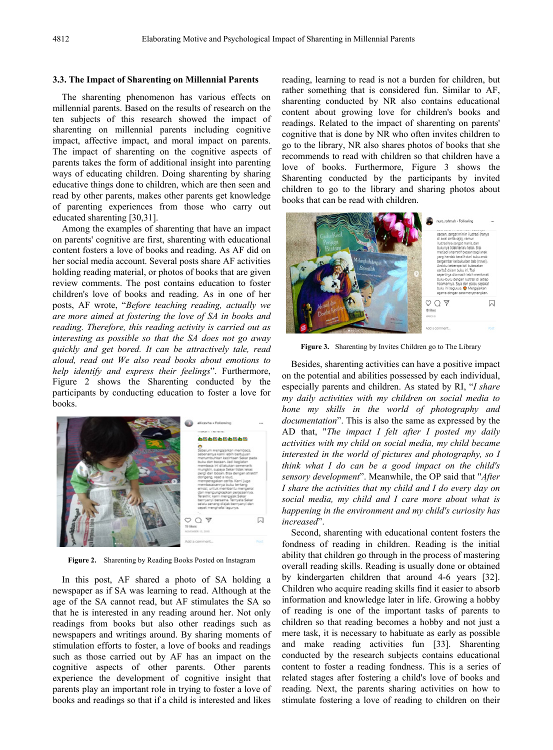#### **3.3. The Impact of Sharenting on Millennial Parents**

The sharenting phenomenon has various effects on millennial parents. Based on the results of research on the ten subjects of this research showed the impact of sharenting on millennial parents including cognitive impact, affective impact, and moral impact on parents. The impact of sharenting on the cognitive aspects of parents takes the form of additional insight into parenting ways of educating children. Doing sharenting by sharing educative things done to children, which are then seen and read by other parents, makes other parents get knowledge of parenting experiences from those who carry out educated sharenting [30,31].

Among the examples of sharenting that have an impact on parents' cognitive are first, sharenting with educational content fosters a love of books and reading. As AF did on her social media account. Several posts share AF activities holding reading material, or photos of books that are given review comments. The post contains education to foster children's love of books and reading. As in one of her posts, AF wrote, "*Before teaching reading, actually we are more aimed at fostering the love of SA in books and reading. Therefore, this reading activity is carried out as interesting as possible so that the SA does not go away quickly and get bored. It can be attractively tale, read aloud, read out We also read books about emotions to help identify and express their feelings*". Furthermore, Figure 2 shows the Sharenting conducted by the participants by conducting education to foster a love for books.



**Figure 2.** Sharenting by Reading Books Posted on Instagram

In this post, AF shared a photo of SA holding a newspaper as if SA was learning to read. Although at the age of the SA cannot read, but AF stimulates the SA so that he is interested in any reading around her. Not only readings from books but also other readings such as newspapers and writings around. By sharing moments of stimulation efforts to foster, a love of books and readings such as those carried out by AF has an impact on the cognitive aspects of other parents. Other parents experience the development of cognitive insight that parents play an important role in trying to foster a love of books and readings so that if a child is interested and likes

reading, learning to read is not a burden for children, but rather something that is considered fun. Similar to AF, sharenting conducted by NR also contains educational content about growing love for children's books and readings. Related to the impact of sharenting on parents' cognitive that is done by NR who often invites children to go to the library, NR also shares photos of books that she recommends to read with children so that children have a love of books. Furthermore, Figure 3 shows the Sharenting conducted by the participants by invited children to go to the library and sharing photos about books that can be read with children.



**Figure 3.** Sharenting by Invites Children go to The Library

Besides, sharenting activities can have a positive impact on the potential and abilities possessed by each individual, especially parents and children. As stated by RI, "*I share my daily activities with my children on social media to hone my skills in the world of photography and documentation*". This is also the same as expressed by the AD that, "*The impact I felt after I posted my daily activities with my child on social media, my child became interested in the world of pictures and photography, so I think what I do can be a good impact on the child's sensory development*". Meanwhile, the OP said that "*After I share the activities that my child and I do every day on social media, my child and I care more about what is happening in the environment and my child's curiosity has increased*".

Second, sharenting with educational content fosters the fondness of reading in children. Reading is the initial ability that children go through in the process of mastering overall reading skills. Reading is usually done or obtained by kindergarten children that around 4-6 years [32]. Children who acquire reading skills find it easier to absorb information and knowledge later in life. Growing a hobby of reading is one of the important tasks of parents to children so that reading becomes a hobby and not just a mere task, it is necessary to habituate as early as possible and make reading activities fun [33]. Sharenting conducted by the research subjects contains educational content to foster a reading fondness. This is a series of related stages after fostering a child's love of books and reading. Next, the parents sharing activities on how to stimulate fostering a love of reading to children on their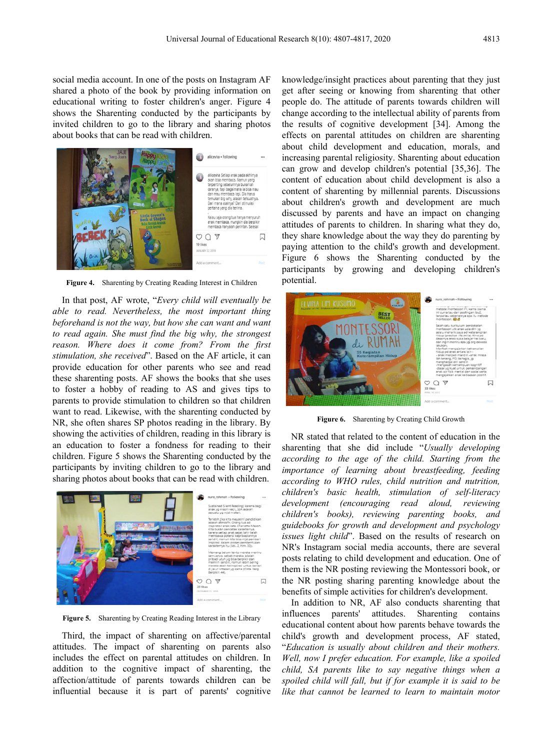social media account. In one of the posts on Instagram AF shared a photo of the book by providing information on educational writing to foster children's anger. Figure 4 shows the Sharenting conducted by the participants by invited children to go to the library and sharing photos about books that can be read with children.



**Figure 4.** Sharenting by Creating Reading Interest in Children

In that post, AF wrote, "*Every child will eventually be able to read. Nevertheless, the most important thing beforehand is not the way, but how she can want and want to read again. She must find the big why, the strongest reason. Where does it come from? From the first stimulation, she received*". Based on the AF article, it can provide education for other parents who see and read these sharenting posts. AF shows the books that she uses to foster a hobby of reading to AS and gives tips to parents to provide stimulation to children so that children want to read. Likewise, with the sharenting conducted by NR, she often shares SP photos reading in the library. By showing the activities of children, reading in this library is an education to foster a fondness for reading to their children. Figure 5 shows the Sharenting conducted by the participants by inviting children to go to the library and sharing photos about books that can be read with children.



**Figure 5.** Sharenting by Creating Reading Interest in the Library

Third, the impact of sharenting on affective/parental attitudes. The impact of sharenting on parents also includes the effect on parental attitudes on children. In addition to the cognitive impact of sharenting, the affection/attitude of parents towards children can be influential because it is part of parents' cognitive knowledge/insight practices about parenting that they just get after seeing or knowing from sharenting that other people do. The attitude of parents towards children will change according to the intellectual ability of parents from the results of cognitive development [34]. Among the effects on parental attitudes on children are sharenting about child development and education, morals, and increasing parental religiosity. Sharenting about education can grow and develop children's potential [35,36]. The content of education about child development is also a content of sharenting by millennial parents. Discussions about children's growth and development are much discussed by parents and have an impact on changing attitudes of parents to children. In sharing what they do, they share knowledge about the way they do parenting by paying attention to the child's growth and development. Figure 6 shows the Sharenting conducted by the participants by growing and developing children's potential.



**Figure 6.** Sharenting by Creating Child Growth

NR stated that related to the content of education in the sharenting that she did include "*Usually developing according to the age of the child. Starting from the importance of learning about breastfeeding, feeding according to WHO rules, child nutrition and nutrition, children's basic health, stimulation of self-literacy development (encouraging read aloud, reviewing children's books), reviewing parenting books, and guidebooks for growth and development and psychology issues light child*". Based on the results of research on NR's Instagram social media accounts, there are several posts relating to child development and education. One of them is the NR posting reviewing the Montessori book, or the NR posting sharing parenting knowledge about the benefits of simple activities for children's development.

In addition to NR, AF also conducts sharenting that influences parents' attitudes. Sharenting contains educational content about how parents behave towards the child's growth and development process, AF stated, "*Education is usually about children and their mothers. Well, now I prefer education. For example, like a spoiled child, SA parents like to say negative things when a spoiled child will fall, but if for example it is said to be like that cannot be learned to learn to maintain motor*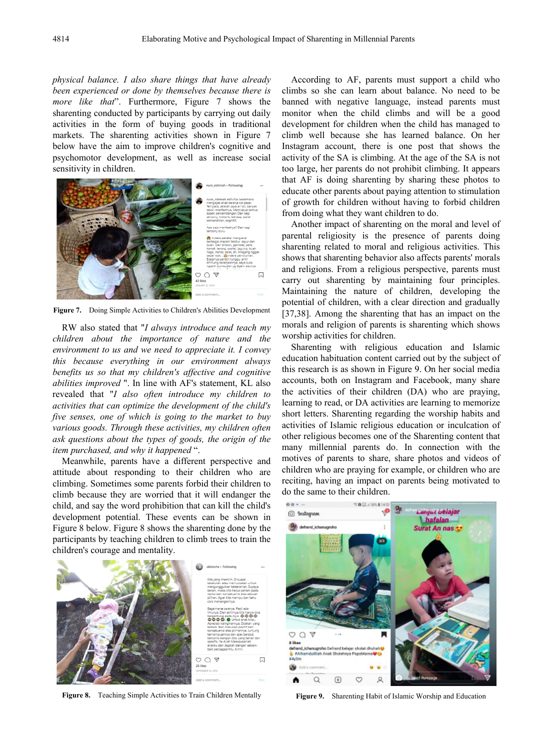*physical balance. I also share things that have already been experienced or done by themselves because there is more like that*". Furthermore, Figure 7 shows the sharenting conducted by participants by carrying out daily activities in the form of buying goods in traditional markets. The sharenting activities shown in Figure 7 below have the aim to improve children's cognitive and psychomotor development, as well as increase social sensitivity in children.



**Figure 7.** Doing Simple Activities to Children's Abilities Development

RW also stated that "*I always introduce and teach my children about the importance of nature and the environment to us and we need to appreciate it. I convey this because everything in our environment always benefits us so that my children's affective and cognitive abilities improved* ". In line with AF's statement, KL also revealed that "*I also often introduce my children to activities that can optimize the development of the child's five senses, one of which is going to the market to buy various goods. Through these activities, my children often ask questions about the types of goods, the origin of the item purchased, and why it happened* ".

Meanwhile, parents have a different perspective and attitude about responding to their children who are climbing. Sometimes some parents forbid their children to climb because they are worried that it will endanger the child, and say the word prohibition that can kill the child's development potential. These events can be shown in Figure 8 below. Figure 8 shows the sharenting done by the participants by teaching children to climb trees to train the children's courage and mentality.



**Figure 8.** Teaching Simple Activities to Train Children Mentally

According to AF, parents must support a child who climbs so she can learn about balance. No need to be banned with negative language, instead parents must monitor when the child climbs and will be a good development for children when the child has managed to climb well because she has learned balance. On her Instagram account, there is one post that shows the activity of the SA is climbing. At the age of the SA is not too large, her parents do not prohibit climbing. It appears that AF is doing sharenting by sharing these photos to educate other parents about paying attention to stimulation of growth for children without having to forbid children from doing what they want children to do.

Another impact of sharenting on the moral and level of parental religiosity is the presence of parents doing sharenting related to moral and religious activities. This shows that sharenting behavior also affects parents' morals and religions. From a religious perspective, parents must carry out sharenting by maintaining four principles. Maintaining the nature of children, developing the potential of children, with a clear direction and gradually [37,38]. Among the sharenting that has an impact on the morals and religion of parents is sharenting which shows worship activities for children.

Sharenting with religious education and Islamic education habituation content carried out by the subject of this research is as shown in Figure 9. On her social media accounts, both on Instagram and Facebook, many share the activities of their children (DA) who are praying, learning to read, or DA activities are learning to memorize short letters. Sharenting regarding the worship habits and activities of Islamic religious education or inculcation of other religious becomes one of the Sharenting content that many millennial parents do. In connection with the motives of parents to share, share photos and videos of children who are praying for example, or children who are reciting, having an impact on parents being motivated to do the same to their children.



**Figure 9.** Sharenting Habit of Islamic Worship and Education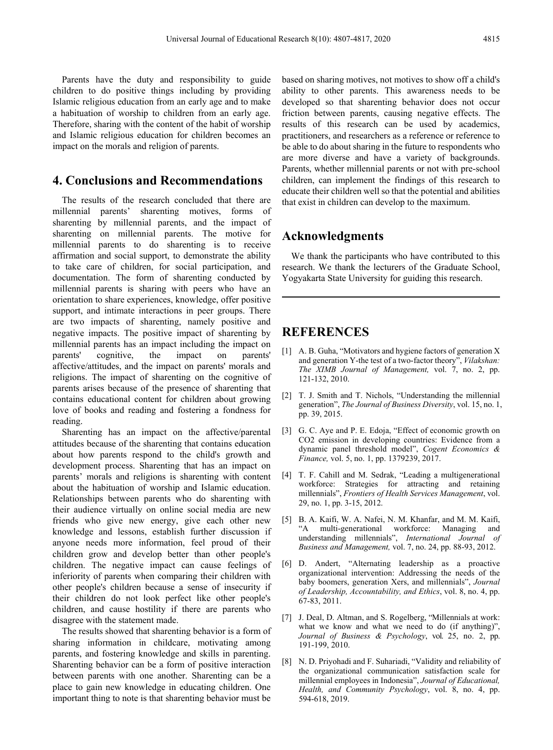Parents have the duty and responsibility to guide children to do positive things including by providing Islamic religious education from an early age and to make a habituation of worship to children from an early age. Therefore, sharing with the content of the habit of worship and Islamic religious education for children becomes an impact on the morals and religion of parents.

## **4. Conclusions and Recommendations**

The results of the research concluded that there are millennial parents' sharenting motives, forms of sharenting by millennial parents, and the impact of sharenting on millennial parents. The motive for millennial parents to do sharenting is to receive affirmation and social support, to demonstrate the ability to take care of children, for social participation, and documentation. The form of sharenting conducted by millennial parents is sharing with peers who have an orientation to share experiences, knowledge, offer positive support, and intimate interactions in peer groups. There are two impacts of sharenting, namely positive and negative impacts. The positive impact of sharenting by millennial parents has an impact including the impact on parents' cognitive, the impact on parents' affective/attitudes, and the impact on parents' morals and religions. The impact of sharenting on the cognitive of parents arises because of the presence of sharenting that contains educational content for children about growing love of books and reading and fostering a fondness for reading.

Sharenting has an impact on the affective/parental attitudes because of the sharenting that contains education about how parents respond to the child's growth and development process. Sharenting that has an impact on parents' morals and religions is sharenting with content about the habituation of worship and Islamic education. Relationships between parents who do sharenting with their audience virtually on online social media are new friends who give new energy, give each other new knowledge and lessons, establish further discussion if anyone needs more information, feel proud of their children grow and develop better than other people's children. The negative impact can cause feelings of inferiority of parents when comparing their children with other people's children because a sense of insecurity if their children do not look perfect like other people's children, and cause hostility if there are parents who disagree with the statement made.

The results showed that sharenting behavior is a form of sharing information in childcare, motivating among parents, and fostering knowledge and skills in parenting. Sharenting behavior can be a form of positive interaction between parents with one another. Sharenting can be a place to gain new knowledge in educating children. One important thing to note is that sharenting behavior must be

based on sharing motives, not motives to show off a child's ability to other parents. This awareness needs to be developed so that sharenting behavior does not occur friction between parents, causing negative effects. The results of this research can be used by academics, practitioners, and researchers as a reference or reference to be able to do about sharing in the future to respondents who are more diverse and have a variety of backgrounds. Parents, whether millennial parents or not with pre-school children, can implement the findings of this research to educate their children well so that the potential and abilities that exist in children can develop to the maximum.

## **Acknowledgments**

We thank the participants who have contributed to this research. We thank the lecturers of the Graduate School, Yogyakarta State University for guiding this research.

## **REFERENCES**

- [1] A. B. Guha, "Motivators and hygiene factors of generation X and generation Y-the test of a two-factor theory", *Vilakshan: The XIMB Journal of Management,* vol. 7, no. 2, pp. 121-132, 2010.
- [2] T. J. Smith and T. Nichols, "Understanding the millennial generation", *The Journal of Business Diversity*, vol. 15, no. 1, pp. 39, 2015.
- [3] G. C. Aye and P. E. Edoja, "Effect of economic growth on CO2 emission in developing countries: Evidence from a dynamic panel threshold model", *Cogent Economics & Finance,* vol. 5, no. 1, pp. 1379239, 2017.
- [4] T. F. Cahill and M. Sedrak, "Leading a multigenerational workforce: Strategies for attracting and retaining millennials", *Frontiers of Health Services Management*, vol. 29, no. 1, pp. 3-15, 2012.
- [5] B. A. Kaifi, W. A. Nafei, N. M. Khanfar, and M. M. Kaifi, "A multi-generational workforce: Managing and understanding millennials", *International Journal of Business and Management,* vol. 7, no. 24, pp. 88-93, 2012.
- [6] D. Andert, "Alternating leadership as a proactive organizational intervention: Addressing the needs of the baby boomers, generation Xers, and millennials", *Journal of Leadership, Accountability, and Ethics*, vol. 8, no. 4, pp.  $67 - 83, 2011.$
- [7] J. Deal, D. Altman, and S. Rogelberg, "Millennials at work: what we know and what we need to do (if anything)", *Journal of Business & Psychology*, vol. 25, no. 2, pp. 191-199, 2010.
- [8] N. D. Priyohadi and F. Suhariadi, "Validity and reliability of the organizational communication satisfaction scale for millennial employees in Indonesia", *Journal of Educational, Health, and Community Psychology*, vol. 8, no. 4, pp. 594-618, 2019.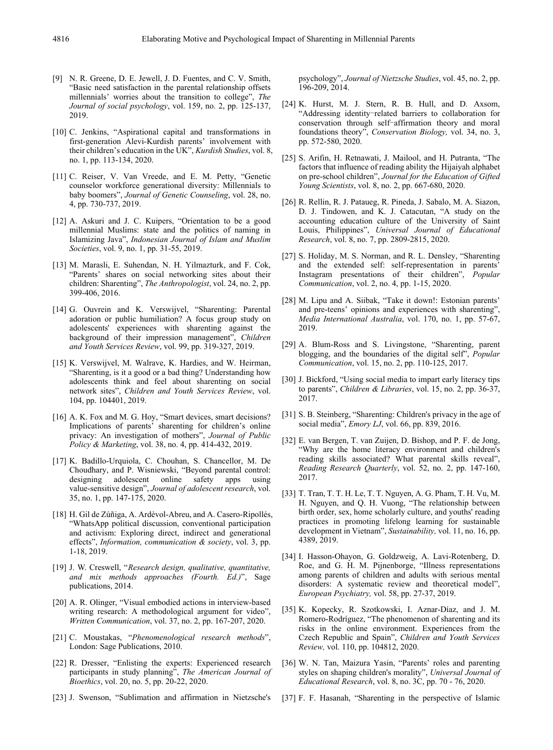- [9] N. R. Greene, D. E. Jewell, J. D. Fuentes, and C. V. Smith, "Basic need satisfaction in the parental relationship offsets millennials' worries about the transition to college", *The Journal of social psychology*, vol. 159, no. 2, pp. 125-137, 2019.
- [10] C. Jenkins, "Aspirational capital and transformations in first-generation Alevi-Kurdish parents' involvement with their children's education in the UK", *Kurdish Studies*, vol. 8, no. 1, pp. 113-134, 2020.
- [11] C. Reiser, V. Van Vreede, and E. M. Petty, "Genetic counselor workforce generational diversity: Millennials to baby boomers", *Journal of Genetic Counseling*, vol. 28, no. 4, pp. 730-737, 2019.
- [12] A. Askuri and J. C. Kuipers, "Orientation to be a good millennial Muslims: state and the politics of naming in Islamizing Java", *Indonesian Journal of Islam and Muslim Societies*, vol. 9, no. 1, pp. 31-55, 2019.
- [13] M. Marasli, E. Suhendan, N. H. Yilmazturk, and F. Cok, "Parents' shares on social networking sites about their children: Sharenting", *The Anthropologist*, vol. 24, no. 2, pp. 399-406, 2016.
- [14] G. Ouvrein and K. Verswijvel, "Sharenting: Parental adoration or public humiliation? A focus group study on adolescents' experiences with sharenting against the background of their impression management", *Children and Youth Services Review*, vol. 99, pp. 319-327, 2019.
- [15] K. Verswijvel, M. Walrave, K. Hardies, and W. Heirman, "Sharenting, is it a good or a bad thing? Understanding how adolescents think and feel about sharenting on social network sites", *Children and Youth Services Review*, vol. 104, pp. 104401, 2019.
- [16] A. K. Fox and M. G. Hoy, "Smart devices, smart decisions? Implications of parents' sharenting for children's online privacy: An investigation of mothers", *Journal of Public Policy & Marketing*, vol. 38, no. 4, pp. 414-432, 2019.
- [17] K. Badillo-Urquiola, C. Chouhan, S. Chancellor, M. De Choudhary, and P. Wisniewski, "Beyond parental control: designing adolescent online safety apps using value-sensitive design", *Journal of adolescent research*, vol. 35, no. 1, pp. 147-175, 2020.
- [18] H. Gil de Zúñiga, A. Ardèvol-Abreu, and A. Casero-Ripollés, "WhatsApp political discussion, conventional participation and activism: Exploring direct, indirect and generational effects", *Information, communication & society*, vol. 3, pp. 1-18, 2019.
- [19] J. W. Creswell, "*Research design, qualitative, quantitative, and mix methods approaches (Fourth. Ed.)*", Sage publications, 2014.
- [20] A. R. Olinger, "Visual embodied actions in interview-based writing research: A methodological argument for video", *Written Communication*, vol. 37, no. 2, pp. 167-207, 2020.
- [21] C. Moustakas, "*Phenomenological research methods*", London: Sage Publications, 2010.
- [22] R. Dresser, "Enlisting the experts: Experienced research participants in study planning", *The American Journal of Bioethics*, vol. 20, no. 5, pp. 20-22, 2020.
- [23] J. Swenson, "Sublimation and affirmation in Nietzsche's

psychology", *Journal of Nietzsche Studies*, vol. 45, no. 2, pp. 196-209, 2014.

- [24] K. Hurst, M. J. Stern, R. B. Hull, and D. Axsom, "Addressing identity-related barriers to collaboration for conservation through self-affirmation theory and moral foundations theory", *Conservation Biology,* vol. 34, no. 3, pp. 572-580, 2020.
- [25] S. Arifin, H. Retnawati, J. Mailool, and H. Putranta, "The factors that influence of reading ability the Hijaiyah alphabet on pre-school children", *Journal for the Education of Gifted Young Scientists*, vol. 8, no. 2, pp. 667-680, 2020.
- [26] R. Rellin, R. J. Pataueg, R. Pineda, J. Sabalo, M. A. Siazon, D. J. Tindowen, and K. J. Catacutan, "A study on the accounting education culture of the University of Saint Louis, Philippines", *Universal Journal of Educational Research*, vol. 8, no. 7, pp. 2809-2815, 2020.
- [27] S. Holiday, M. S. Norman, and R. L. Densley, "Sharenting and the extended self: self-representation in parents' Instagram presentations of their children", *Popular Communication*, vol. 2, no. 4, pp. 1-15, 2020.
- [28] M. Lipu and A. Siibak, "Take it down!: Estonian parents' and pre-teens' opinions and experiences with sharenting", *Media International Australia*, vol. 170, no. 1, pp. 57-67, 2019.
- [29] A. Blum-Ross and S. Livingstone, "Sharenting, parent blogging, and the boundaries of the digital self", *Popular Communication*, vol. 15, no. 2, pp. 110-125, 2017.
- [30] J. Bickford, "Using social media to impart early literacy tips to parents", *Children & Libraries*, vol. 15, no. 2, pp. 36-37, 2017.
- [31] S. B. Steinberg, "Sharenting: Children's privacy in the age of social media", *Emory LJ*, vol. 66, pp. 839, 2016.
- [32] E. van Bergen, T. van Zuijen, D. Bishop, and P. F. de Jong, "Why are the home literacy environment and children's reading skills associated? What parental skills reveal", *Reading Research Quarterly*, vol. 52, no. 2, pp. 147-160, 2017.
- [33] T. Tran, T. T. H. Le, T. T. Nguyen, A. G. Pham, T. H. Vu, M. H. Nguyen, and Q. H. Vuong, "The relationship between birth order, sex, home scholarly culture, and youths' reading practices in promoting lifelong learning for sustainable development in Vietnam", *Sustainability,* vol. 11, no. 16, pp. 4389, 2019.
- [34] I. Hasson-Ohayon, G. Goldzweig, A. Lavi-Rotenberg, D. Roe, and G. H. M. Pijnenborge, "Illness representations among parents of children and adults with serious mental disorders: A systematic review and theoretical model", *European Psychiatry,* vol. 58, pp. 27-37, 2019.
- [35] K. Kopecky, R. Szotkowski, I. Aznar-Díaz, and J. M. Romero-Rodríguez, "The phenomenon of sharenting and its risks in the online environment. Experiences from the Czech Republic and Spain", *Children and Youth Services Review,* vol. 110, pp. 104812, 2020.
- [36] W. N. Tan, Maizura Yasin, "Parents' roles and parenting styles on shaping children's morality", *Universal Journal of Educational Research*, vol. 8, no. 3C, pp. 70 - 76, 2020.
- [37] F. F. Hasanah, "Sharenting in the perspective of Islamic